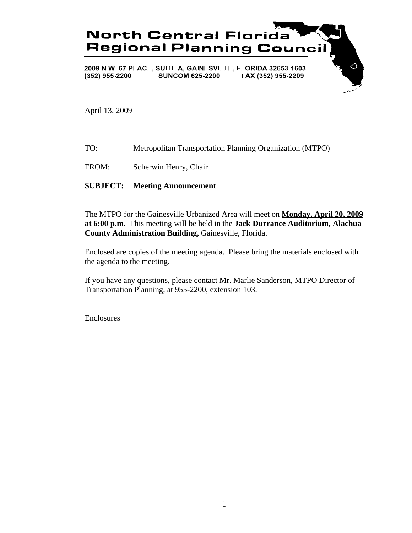

April 13, 2009

- TO: Metropolitan Transportation Planning Organization (MTPO)
- FROM: Scherwin Henry, Chair

# **SUBJECT: Meeting Announcement**

The MTPO for the Gainesville Urbanized Area will meet on **Monday, April 20, 2009 at 6:00 p.m.** This meeting will be held in the **Jack Durrance Auditorium, Alachua County Administration Building,** Gainesville, Florida.

Enclosed are copies of the meeting agenda. Please bring the materials enclosed with the agenda to the meeting.

If you have any questions, please contact Mr. Marlie Sanderson, MTPO Director of Transportation Planning, at 955-2200, extension 103.

Enclosures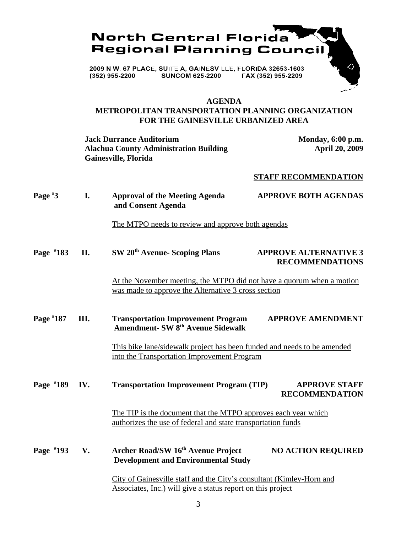

# **AGENDA**

# **METROPOLITAN TRANSPORTATION PLANNING ORGANIZATION FOR THE GAINESVILLE URBANIZED AREA**

**Jack Durrance Auditorium Monday, 6:00 p.m.**<br>Alachua County Administration Building Monday, 6:00 p.m. **Alachua County Administration Building Gainesville, Florida**

#### **STAFF RECOMMENDATION**

| Page $*3$   | I.   | <b>Approval of the Meeting Agenda</b><br>and Consent Agenda                                                                         | <b>APPROVE BOTH AGENDAS</b>                            |
|-------------|------|-------------------------------------------------------------------------------------------------------------------------------------|--------------------------------------------------------|
|             |      | The MTPO needs to review and approve both agendas                                                                                   |                                                        |
| Page #183   | II.  | SW 20 <sup>th</sup> Avenue- Scoping Plans                                                                                           | <b>APPROVE ALTERNATIVE 3</b><br><b>RECOMMENDATIONS</b> |
|             |      | At the November meeting, the MTPO did not have a quorum when a motion<br>was made to approve the Alternative 3 cross section        |                                                        |
| Page #187   | III. | <b>Transportation Improvement Program</b><br><b>Amendment- SW 8th Avenue Sidewalk</b>                                               | <b>APPROVE AMENDMENT</b>                               |
|             |      | This bike lane/sidewalk project has been funded and needs to be amended<br>into the Transportation Improvement Program              |                                                        |
| Page #189   | IV.  | <b>Transportation Improvement Program (TIP)</b>                                                                                     | <b>APPROVE STAFF</b><br><b>RECOMMENDATION</b>          |
|             |      | The TIP is the document that the MTPO approves each year which<br>authorizes the use of federal and state transportation funds      |                                                        |
| Page $*193$ | V.   | Archer Road/SW 16th Avenue Project<br><b>Development and Environmental Study</b>                                                    | <b>NO ACTION REQUIRED</b>                              |
|             |      | City of Gainesville staff and the City's consultant (Kimley-Horn and<br>Associates, Inc.) will give a status report on this project |                                                        |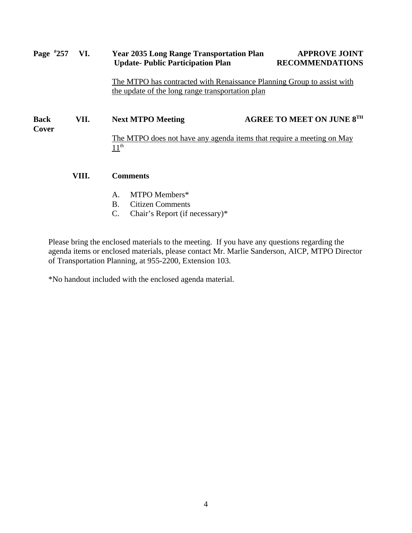# **Page # 2035 Long Range Transportation Plan APPROVE JOINT Update- Public Participation Plan RECOMMENDATIONS** The MTPO has contracted with Renaissance Planning Group to assist with the update of the long range transportation plan Back VII. Next MTPO Meeting AGREE TO MEET ON JUNE 8<sup>TH</sup> **Cover** The MTPO does not have any agenda items that require a meeting on May  $11<sup>th</sup>$ **VIII. Comments** A. MTPO Members\*

- B. Citizen Comments
- C. Chair's Report (if necessary)\*

Please bring the enclosed materials to the meeting. If you have any questions regarding the agenda items or enclosed materials, please contact Mr. Marlie Sanderson, AICP, MTPO Director of Transportation Planning, at 955-2200, Extension 103.

\*No handout included with the enclosed agenda material.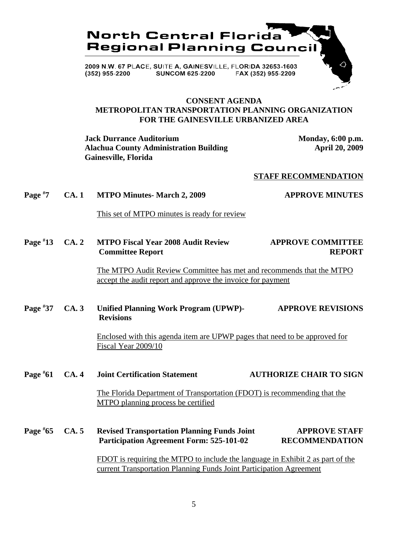

## **CONSENT AGENDA METROPOLITAN TRANSPORTATION PLANNING ORGANIZATION FOR THE GAINESVILLE URBANIZED AREA**

**Jack Durrance Auditorium Monday, 6:00 p.m.** Alachua County Administration Building **April 20, 2009 Gainesville, Florida**

#### **STAFF RECOMMENDATION**

**Page # 7 CA. 1 MTPO Minutes- March 2, 2009 48 APPROVE MINUTES** 

This set of MTPO minutes is ready for review

**Page # 13 CA. 2 MTPO Fiscal Year 2008 Audit Review APPROVE COMMITTEE Committee Report REPORT** 

> The MTPO Audit Review Committee has met and recommends that the MTPO accept the audit report and approve the invoice for payment

**Page # 37 CA. 3 Unified Planning Work Program (UPWP)- APPROVE REVISIONS Revisions**

> Enclosed with this agenda item are UPWP pages that need to be approved for Fiscal Year 2009/10

**Page # 61 CA. 4 Joint Certification Statement AUTHORIZE CHAIR TO SIGN**

> The Florida Department of Transportation (FDOT) is recommending that the MTPO planning process be certified

**Page # 65 CA. 5 Revised Transportation Planning Funds Joint APPROVE STAFF Participation Agreement Form: 525-101-02 RECOMMENDATION**

> FDOT is requiring the MTPO to include the language in Exhibit 2 as part of the current Transportation Planning Funds Joint Participation Agreement